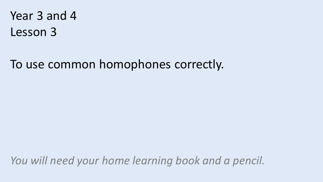Year 3 and 4 Lesson 3

To use common homophones correctly.

*You will need your home learning book and a pencil.*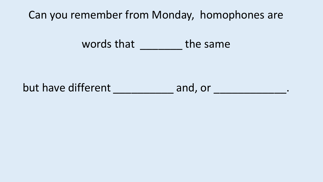Can you remember from Monday, homophones are

words that \_\_\_\_\_\_\_\_\_ the same

but have different and, or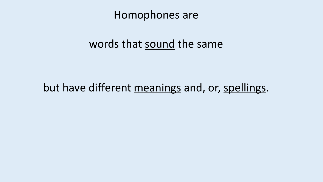Homophones are

## words that sound the same

## but have different meanings and, or, spellings.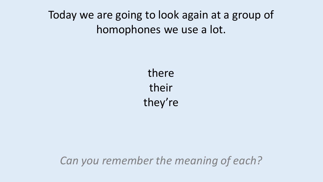# Today we are going to look again at a group of homophones we use a lot.

there their they're

*Can you remember the meaning of each?*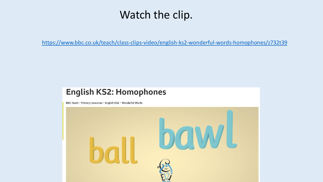## Watch the clip.

<https://www.bbc.co.uk/teach/class-clips-video/english-ks2-wonderful-words-homophones/z732t39>

### **English KS2: Homophones**

BBC Teach > Primary resources > English KS2 > Wonderful Words

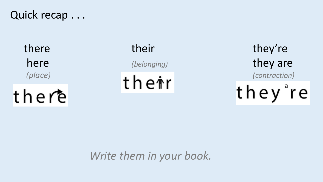## Quick recap . . .

there

there their they're here *(belonging)* they are *(place) (contraction)* they're

*Write them in your book.*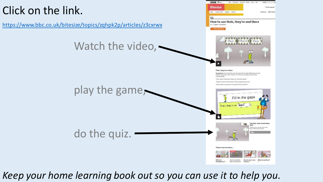# Click on the link.

<https://www.bbc.co.uk/bitesize/topics/zqhpk2p/articles/z3cxrwx>

Watch the video, -

play the game,



GMC GMCPhye Bounced Media Guile Hen

Their, they're or there

What are

homoghanes?

**BUB OSA** 

Homepheers are words that sound the caree but are spett differently and have different meanings. "Their", "they're' and "there' are host sphores: that after сообщем синосию

Their' means it belongs to them, eg "i ate their sweets." They're' is short for 'they one' eq "They are gaing to be cover

hear refers to a stace os "for going to hide over these.



How to use their.

they're endthere and two ?

How to use to, too

What are prefixer

do the quiz. **BALL** There's more to learn.

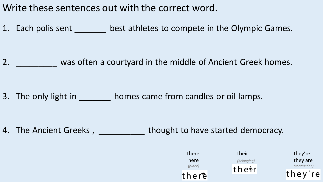Write these sentences out with the correct word.

1. Each polis sent \_\_\_\_\_\_\_\_ best athletes to compete in the Olympic Games.

2. \_\_\_\_\_\_\_\_\_\_\_ was often a courtyard in the middle of Ancient Greek homes.

3. The only light in the bomes came from candles or oil lamps.

4. The Ancient Greeks, thought to have started democracy.

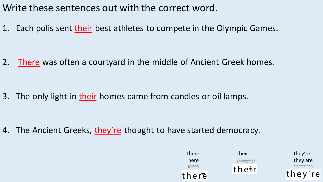Write these sentences out with the correct word.

1. Each polis sent their best athletes to compete in the Olympic Games.

2. There was often a courtyard in the middle of Ancient Greek homes.

3. The only light in their homes came from candles or oil lamps.

4. The Ancient Greeks, they're thought to have started democracy.